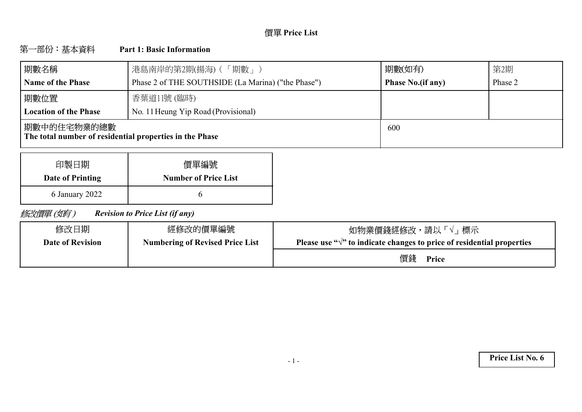# **Price List**

#### 第一部份:基本資料 **Part 1: Basic Information**

| 期數名稱                                                                    | 港島南岸的第2期(揚海) (「期數」)                                | 期數(如有)                   | 第2期     |
|-------------------------------------------------------------------------|----------------------------------------------------|--------------------------|---------|
| <b>Name of the Phase</b>                                                | Phase 2 of THE SOUTHSIDE (La Marina) ("the Phase") | <b>Phase No.(if any)</b> | Phase 2 |
| 期數位置                                                                    | 香葉道11號 (臨時)                                        |                          |         |
| <b>Location of the Phase</b>                                            | No. 11 Heung Yip Road (Provisional)                |                          |         |
| 期數中的住宅物業的總數 <br>The total number of residential properties in the Phase |                                                    | 600                      |         |

| 印製日期             | 價單編號                        |
|------------------|-----------------------------|
| Date of Printing | <b>Number of Price List</b> |
| 6 January 2022   |                             |

修改價單(如有) *Revision to Price List (if any)*

| 修改日期                    | 經修改的價單編號                               | 如物業價錢經修改,請以「√」 標示                                                                |
|-------------------------|----------------------------------------|----------------------------------------------------------------------------------|
| <b>Date of Revision</b> | <b>Numbering of Revised Price List</b> | Please use " $\sqrt{ }$ " to indicate changes to price of residential properties |
|                         |                                        | 價錢<br>Price                                                                      |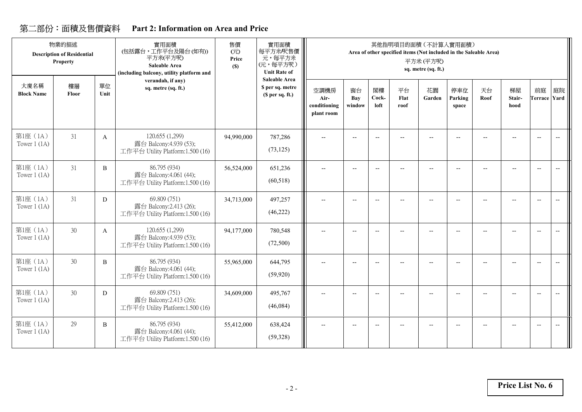# **Part 2: Information on Area and Price**

|                            | 物業的描述<br><b>Description of Residential</b><br><b>Property</b> |              | 實用面積<br>(包括露台,工作平台及陽台(如有))<br>平方米(平方呎)<br>Saleable Area<br>(including balcony, utility platform and | 售價<br>(元)<br>Price<br>(S) | 實用面積<br>每平方米/呎售價<br>元,每平方米<br>(元,每平方呎)<br><b>Unit Rate of</b> |                                            |                          |                          |                          | 其他指明項目的面積 (不計算入實用面積)<br>Area of other specified items (Not included in the Saleable Area)<br>平方米(平方呎)<br>sq. metre (sq. ft.) |                          |            |                      |                           |                          |
|----------------------------|---------------------------------------------------------------|--------------|-----------------------------------------------------------------------------------------------------|---------------------------|---------------------------------------------------------------|--------------------------------------------|--------------------------|--------------------------|--------------------------|------------------------------------------------------------------------------------------------------------------------------|--------------------------|------------|----------------------|---------------------------|--------------------------|
| 大廈名稱<br><b>Block Name</b>  | 樓層<br>Floor                                                   | 單位<br>Unit   | verandah, if any)<br>sq. metre (sq. ft.)                                                            |                           | <b>Saleable Area</b><br>\$ per sq. metre<br>(S per sq. ft.)   | 空調機房<br>Air-<br>conditioning<br>plant room | 窗台<br>Bay<br>window      | 閣樓<br>Cock-<br>loft      | 平台<br>Flat<br>roof       | 花園<br>Garden                                                                                                                 | 停車位<br>Parking<br>space  | 天台<br>Roof | 梯屋<br>Stair-<br>hood | 前庭<br><b>Terrace Yard</b> | 庭院                       |
| 第1座 (1A)<br>Tower $1(1A)$  | 31                                                            | A            | 120.655 (1,299)<br>露台 Balcony:4.939 (53);<br>工作平台 Utility Platform:1.500 (16)                       | 94,990,000                | 787,286<br>(73, 125)                                          | --                                         |                          | $-$                      |                          | $-$                                                                                                                          |                          |            |                      | $\overline{\phantom{a}}$  | $\overline{\phantom{a}}$ |
| 第1座 (1A)<br>Tower $1(1A)$  | 31                                                            | $\, {\bf B}$ | 86.795 (934)<br>露台 Balcony:4.061 (44);<br>工作平台 Utility Platform:1.500 (16)                          | 56,524,000                | 651,236<br>(60, 518)                                          | $-$                                        | $\overline{\phantom{a}}$ | $\overline{\phantom{a}}$ | $\overline{\phantom{a}}$ | $-$                                                                                                                          | $\overline{\phantom{a}}$ |            |                      | $\overline{\phantom{a}}$  | $\overline{\phantom{a}}$ |
| 第1座 (1A)<br>Tower $1(1A)$  | 31                                                            | D            | 69.809 (751)<br>露台 Balcony:2.413 (26);<br>工作平台 Utility Platform:1.500 (16)                          | 34,713,000                | 497,257<br>(46, 222)                                          | $-$                                        |                          | $\overline{a}$           |                          | $-$                                                                                                                          | $\overline{a}$           |            |                      | $\overline{\phantom{a}}$  |                          |
| 第1座 (1A)<br>Tower $1(1A)$  | 30                                                            | A            | 120.655 (1,299)<br>露台 Balcony:4.939 (53);<br>工作平台 Utility Platform:1.500 (16)                       | 94,177,000                | 780,548<br>(72,500)                                           | $-$                                        | $\overline{a}$           | $\overline{\phantom{a}}$ | $\overline{a}$           | $-$                                                                                                                          | $\overline{\phantom{a}}$ |            | $\overline{a}$       | $\overline{\phantom{a}}$  | $\overline{\phantom{a}}$ |
| 第1座 (1A)<br>Tower $1$ (1A) | 30 <sup>°</sup>                                               | B            | 86.795 (934)<br>露台 Balcony:4.061 (44);<br>工作平台 Utility Platform:1.500 (16)                          | 55,965,000                | 644,795<br>(59, 920)                                          | --                                         | $\overline{a}$           | $\overline{\phantom{a}}$ |                          |                                                                                                                              | $\overline{\phantom{a}}$ |            |                      | $\overline{\phantom{a}}$  | $\overline{\phantom{a}}$ |
| 第1座 (1A)<br>Tower $1(1A)$  | 30                                                            | D            | 69.809 (751)<br>露台 Balcony:2.413 (26);<br>工作平台 Utility Platform:1.500 (16)                          | 34,609,000                | 495,767<br>(46,084)                                           | $-$                                        | $\overline{\phantom{a}}$ | $-$                      |                          |                                                                                                                              |                          |            |                      | $\overline{\phantom{a}}$  |                          |
| 第1座 (1A)<br>Tower $1$ (1A) | 29                                                            | B            | 86.795 (934)<br>露台 Balcony:4.061 (44);<br>工作平台 Utility Platform:1.500 (16)                          | 55,412,000                | 638,424<br>(59, 328)                                          | --                                         |                          |                          |                          |                                                                                                                              | $\overline{a}$           |            |                      | $\overline{\phantom{a}}$  |                          |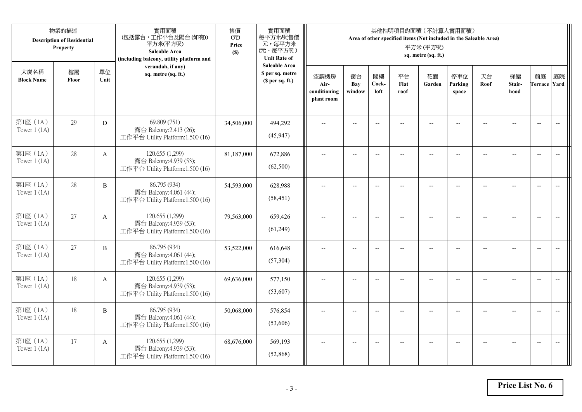|                            | 物業的描述<br><b>Description of Residential</b><br>Property |              | 實用面積<br>(包括露台,工作平台及陽台(如有))<br>平方米(平方呎)<br>Saleable Area<br>(including balcony, utility platform and | 售價<br>(元)<br>Price<br>(S) | 實用面積<br>每平方米/呎售價<br>元,每平方米<br>(元,每平方呎)<br><b>Unit Rate of</b>          |                                            |                          |                          |                          | 其他指明項目的面積 (不計算入實用面積)<br>Area of other specified items (Not included in the Saleable Area)<br>平方米(平方呎)<br>sq. metre (sq. ft.) |                          |                |                          |                           |                          |
|----------------------------|--------------------------------------------------------|--------------|-----------------------------------------------------------------------------------------------------|---------------------------|------------------------------------------------------------------------|--------------------------------------------|--------------------------|--------------------------|--------------------------|------------------------------------------------------------------------------------------------------------------------------|--------------------------|----------------|--------------------------|---------------------------|--------------------------|
| 大廈名稱<br><b>Block Name</b>  | 樓層<br>Floor                                            | 單位<br>Unit   | verandah, if any)<br>sq. metre (sq. ft.)                                                            |                           | <b>Saleable Area</b><br>\$ per sq. metre<br>(S <sub>per</sub> sq. ft.) | 空調機房<br>Air-<br>conditioning<br>plant room | 窗台<br>Bay<br>window      | 閣樓<br>Cock-<br>loft      | 平台<br>Flat<br>roof       | 花園<br>Garden                                                                                                                 | 停車位<br>Parking<br>space  | 天台<br>Roof     | 梯屋<br>Stair-<br>hood     | 前庭<br><b>Terrace Yard</b> | 庭院                       |
| 第1座 (1A)<br>Tower $1$ (1A) | 29                                                     | D            | 69.809 (751)<br>露台 Balcony:2.413 (26);<br>工作平台 Utility Platform:1.500 (16)                          | 34,506,000                | 494,292<br>(45, 947)                                                   |                                            |                          | $\overline{\phantom{a}}$ |                          |                                                                                                                              |                          |                |                          | $\overline{a}$            | $\overline{\phantom{a}}$ |
| 第1座 (1A)<br>Tower $1$ (1A) | 28                                                     | $\mathbf{A}$ | 120.655 (1,299)<br>露台 Balcony:4.939 (53);<br>工作平台 Utility Platform:1.500 (16)                       | 81,187,000                | 672,886<br>(62,500)                                                    | $\overline{\phantom{a}}$                   | $\overline{\phantom{a}}$ | $\overline{\phantom{a}}$ | $-$                      | $\overline{\phantom{a}}$                                                                                                     | $-$                      | $-$            | $\overline{a}$           | $-$                       | $\overline{\phantom{m}}$ |
| 第1座 (1A)<br>Tower $1$ (1A) | 28                                                     | $\, {\bf B}$ | 86.795 (934)<br>露台 Balcony:4.061 (44);<br>工作平台 Utility Platform:1.500 (16)                          | 54,593,000                | 628,988<br>(58, 451)                                                   |                                            | $\overline{\phantom{a}}$ | $-$                      | $-$                      | $-$                                                                                                                          | --                       |                | $\overline{\phantom{a}}$ | $\overline{\phantom{a}}$  |                          |
| 第1座 (1A)<br>Tower $1(1A)$  | 27                                                     | $\mathbf{A}$ | 120.655 (1,299)<br>露台 Balcony:4.939 (53);<br>工作平台 Utility Platform:1.500 (16)                       | 79,563,000                | 659,426<br>(61,249)                                                    | $-$                                        | $\overline{\phantom{m}}$ | $\overline{\phantom{a}}$ | $\overline{\phantom{a}}$ | $-$                                                                                                                          | $\overline{\phantom{a}}$ | $\overline{a}$ | --                       | $\overline{\phantom{a}}$  | $\overline{\phantom{m}}$ |
| 第1座 (1A)<br>Tower $1(1A)$  | 27                                                     | $\, {\bf B}$ | 86.795 (934)<br>露台 Balcony:4.061 (44);<br>工作平台 Utility Platform:1.500 (16)                          | 53,522,000                | 616,648<br>(57, 304)                                                   | $\sim$                                     | $\overline{a}$           | $\overline{a}$           | $\overline{a}$           | $\overline{\phantom{a}}$                                                                                                     | $\overline{a}$           |                | $\overline{a}$           | $\overline{\phantom{a}}$  | $\overline{\phantom{a}}$ |
| 第1座 (1A)<br>Tower $1$ (1A) | 18                                                     | A            | 120.655 (1,299)<br>露台 Balcony:4.939 (53);<br>工作平台 Utility Platform:1.500 (16)                       | 69,636,000                | 577,150<br>(53,607)                                                    | $\overline{\phantom{a}}$                   | $\overline{a}$           | $-$                      |                          | $-$                                                                                                                          | $-$                      | $-$            | $\overline{a}$           | $\overline{\phantom{a}}$  | $\sim$                   |
| 第1座 (1A)<br>Tower $1(1A)$  | 18                                                     | B            | 86.795 (934)<br>露台 Balcony:4.061 (44);<br>工作平台 Utility Platform:1.500 (16)                          | 50,068,000                | 576,854<br>(53,606)                                                    |                                            |                          |                          |                          |                                                                                                                              |                          |                |                          | $\overline{\phantom{a}}$  | $\overline{a}$           |
| 第1座 (1A)<br>Tower $1$ (1A) | 17                                                     | A            | 120.655 (1,299)<br>露台 Balcony:4.939 (53);<br>工作平台 Utility Platform:1.500 (16)                       | 68,676,000                | 569,193<br>(52, 868)                                                   | $\overline{\phantom{a}}$                   | $-$                      | $-$                      |                          | $\overline{a}$                                                                                                               | $-$                      |                | $-$                      | $-$                       | $\overline{\phantom{a}}$ |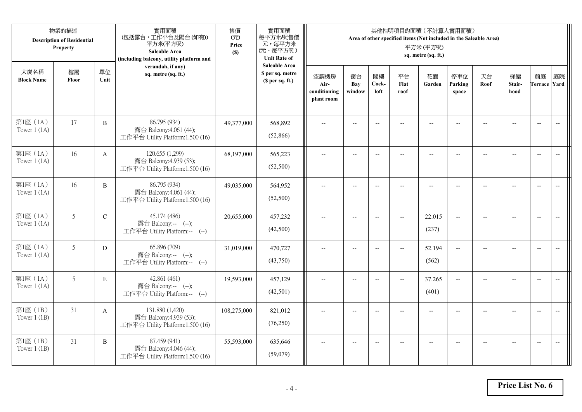|                            | 物業的描述<br><b>Description of Residential</b><br>Property |              | 實用面積<br>(包括露台,工作平台及陽台(如有))<br>平方米(平方呎)<br><b>Saleable Area</b><br>(including balcony, utility platform and | 售價<br>(元)<br>Price<br>(S) | 實用面積<br>每平方米/呎售價<br>元,每平方米<br>(元,每平方呎)<br><b>Unit Rate of</b>          |                                            |                          |                          | 其他指明項目的面積 (不計算入實用面積)<br>Area of other specified items (Not included in the Saleable Area) | 平方米(平方呎)<br>sq. metre (sq. ft.) |                          |                |                                                     |                           |                          |
|----------------------------|--------------------------------------------------------|--------------|------------------------------------------------------------------------------------------------------------|---------------------------|------------------------------------------------------------------------|--------------------------------------------|--------------------------|--------------------------|-------------------------------------------------------------------------------------------|---------------------------------|--------------------------|----------------|-----------------------------------------------------|---------------------------|--------------------------|
| 大廈名稱<br><b>Block Name</b>  | 樓層<br>Floor                                            | 單位<br>Unit   | verandah, if any)<br>sq. metre (sq. ft.)                                                                   |                           | <b>Saleable Area</b><br>\$ per sq. metre<br>(S <sub>per</sub> sq. ft.) | 空調機房<br>Air-<br>conditioning<br>plant room | 窗台<br>Bay<br>window      | 閣樓<br>Cock-<br>loft      | 平台<br>Flat<br>roof                                                                        | 花園<br>Garden                    | 停車位<br>Parking<br>space  | 天台<br>Roof     | 梯屋<br>Stair-<br>hood                                | 前庭<br><b>Terrace Yard</b> | 庭院                       |
| 第1座 (1A)<br>Tower $1$ (1A) | 17                                                     | $\, {\bf B}$ | 86.795 (934)<br>露台 Balcony:4.061 (44);<br>工作平台 Utility Platform:1.500 (16)                                 | 49,377,000                | 568,892<br>(52,866)                                                    |                                            |                          | $\overline{\phantom{a}}$ |                                                                                           |                                 |                          |                |                                                     | $\overline{a}$            | $\overline{\phantom{a}}$ |
| 第1座 (1A)<br>Tower $1$ (1A) | 16                                                     | $\mathbf{A}$ | 120.655 (1,299)<br>露台 Balcony:4.939 (53);<br>工作平台 Utility Platform:1.500 (16)                              | 68,197,000                | 565,223<br>(52,500)                                                    | $\overline{\phantom{a}}$                   | $\overline{\phantom{a}}$ | $\overline{\phantom{a}}$ |                                                                                           | $\overline{\phantom{a}}$        | $-$                      |                | $\overline{a}$                                      | $-$                       |                          |
| 第1座 (1A)<br>Tower $1$ (1A) | 16                                                     | $\, {\bf B}$ | 86.795 (934)<br>露台 Balcony:4.061 (44);<br>工作平台 Utility Platform:1.500 (16)                                 | 49,035,000                | 564,952<br>(52,500)                                                    |                                            | $\overline{\phantom{a}}$ | $-$                      | $-$                                                                                       | $-$                             |                          |                | $\overline{\phantom{a}}$                            | $\overline{\phantom{a}}$  |                          |
| 第1座 (1A)<br>Tower $1(1A)$  | 5                                                      | $\mathbf C$  | 45.174 (486)<br>露台 Balcony:-- (--);<br>工作平台 Utility Platform:-- (--)                                       | 20,655,000                | 457,232<br>(42,500)                                                    | $-$                                        | $\overline{\phantom{m}}$ | $\overline{\phantom{a}}$ | $\overline{\phantom{a}}$                                                                  | 22.015<br>(237)                 | $\overline{\phantom{a}}$ | $\overline{a}$ | $\hspace{0.05cm} -\hspace{0.05cm} -\hspace{0.05cm}$ | $\overline{\phantom{a}}$  | $\overline{\phantom{m}}$ |
| 第1座 (1A)<br>Tower $1(1A)$  | 5                                                      | ${\rm D}$    | 65.896 (709)<br>露台 Balcony:-- (--);<br>工作平台 Utility Platform:-- (--)                                       | 31,019,000                | 470,727<br>(43,750)                                                    | $\sim$                                     | $\overline{a}$           | $\overline{a}$           | $\overline{\phantom{a}}$                                                                  | 52.194<br>(562)                 | $\overline{\phantom{a}}$ |                |                                                     | $\overline{\phantom{a}}$  | $\overline{\phantom{a}}$ |
| 第1座 (1A)<br>Tower $1$ (1A) | 5                                                      | E            | 42.861 (461)<br>露台 Balcony:-- (--);<br>工作平台 Utility Platform:-- (--)                                       | 19,593,000                | 457,129<br>(42,501)                                                    | $\overline{\phantom{a}}$                   | $\overline{a}$           | $-$                      | $\overline{a}$                                                                            | 37.265<br>(401)                 | $\overline{a}$           |                | $-$                                                 | $\overline{\phantom{a}}$  | $\overline{a}$           |
| 第1座 (1B)<br>Tower $1(1B)$  | 31                                                     | $\mathbf{A}$ | 131.880 (1,420)<br>露台 Balcony:4.939 (53);<br>工作平台 Utility Platform:1.500 (16)                              | 108,275,000               | 821,012<br>(76,250)                                                    |                                            |                          | $\overline{\phantom{a}}$ |                                                                                           |                                 |                          |                |                                                     | $\overline{\phantom{a}}$  | $\overline{\phantom{a}}$ |
| 第1座 (1B)<br>Tower $1$ (1B) | 31                                                     | B            | 87.459 (941)<br>露台 Balcony:4.046 (44);<br>工作平台 Utility Platform:1.500 (16)                                 | 55,593,000                | 635,646<br>(59,079)                                                    |                                            | $-$                      | $-$                      |                                                                                           | $-$                             | $-$                      |                | $-$                                                 | $-$                       | $\overline{\phantom{a}}$ |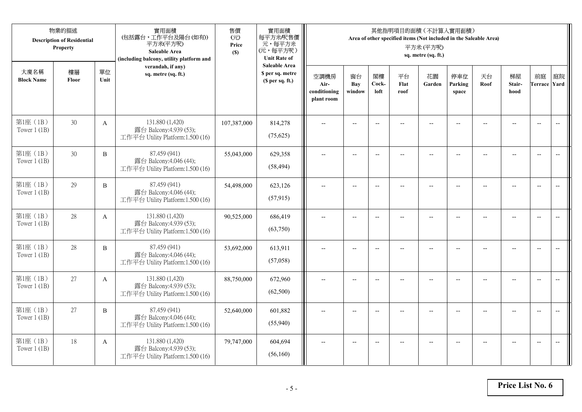|                            | 物業的描述<br><b>Description of Residential</b><br>Property |              | 實用面積<br>(包括露台,工作平台及陽台(如有))<br>平方米(平方呎)<br><b>Saleable Area</b><br>(including balcony, utility platform and | 售價<br>(元)<br>Price<br>(S) | 實用面積<br>每平方米/呎售價<br>元,每平方米<br>(元,每平方呎)<br><b>Unit Rate of</b>          |                                            |                          |                          |                          | 其他指明項目的面積 (不計算入實用面積)<br>Area of other specified items (Not included in the Saleable Area)<br>平方米(平方呎)<br>sq. metre (sq. ft.) |                          |                |                          |                           |                          |
|----------------------------|--------------------------------------------------------|--------------|------------------------------------------------------------------------------------------------------------|---------------------------|------------------------------------------------------------------------|--------------------------------------------|--------------------------|--------------------------|--------------------------|------------------------------------------------------------------------------------------------------------------------------|--------------------------|----------------|--------------------------|---------------------------|--------------------------|
| 大廈名稱<br><b>Block Name</b>  | 樓層<br>Floor                                            | 單位<br>Unit   | verandah, if any)<br>sq. metre (sq. ft.)                                                                   |                           | <b>Saleable Area</b><br>\$ per sq. metre<br>(S <sub>per</sub> sq. ft.) | 空調機房<br>Air-<br>conditioning<br>plant room | 窗台<br>Bay<br>window      | 閣樓<br>Cock-<br>loft      | 平台<br>Flat<br>roof       | 花園<br>Garden                                                                                                                 | 停車位<br>Parking<br>space  | 天台<br>Roof     | 梯屋<br>Stair-<br>hood     | 前庭<br><b>Terrace Yard</b> | 庭院                       |
| 第1座 (1B)<br>Tower $1$ (1B) | 30                                                     | $\mathbf{A}$ | 131.880 (1,420)<br>露台 Balcony:4.939 (53);<br>工作平台 Utility Platform:1.500 (16)                              | 107,387,000               | 814,278<br>(75,625)                                                    |                                            | $-$                      | $\overline{\phantom{a}}$ |                          | $\sim$                                                                                                                       |                          |                |                          | $\overline{a}$            | $\overline{\phantom{a}}$ |
| 第1座 (1B)<br>Tower $1$ (1B) | 30                                                     | B            | 87.459 (941)<br>露台 Balcony:4.046 (44);<br>工作平台 Utility Platform:1.500 (16)                                 | 55,043,000                | 629,358<br>(58, 494)                                                   | $\overline{\phantom{a}}$                   | $\overline{\phantom{a}}$ | $\overline{\phantom{a}}$ | $\overline{a}$           | $\overline{\phantom{a}}$                                                                                                     | $-$                      | $-$            | $\overline{a}$           | $-$                       | $\overline{\phantom{m}}$ |
| 第1座 (1B)<br>Tower $1$ (1B) | 29                                                     | $\, {\bf B}$ | 87.459 (941)<br>露台 Balcony:4.046 (44);<br>工作平台 Utility Platform:1.500 (16)                                 | 54,498,000                | 623,126<br>(57, 915)                                                   |                                            | $\overline{\phantom{a}}$ | $\overline{\phantom{a}}$ | $-$                      | $-$                                                                                                                          | --                       |                | $\overline{\phantom{a}}$ | $\overline{\phantom{a}}$  |                          |
| 第1座 (1B)<br>Tower $1$ (1B) | 28                                                     | $\mathbf{A}$ | 131.880 (1,420)<br>露台 Balcony:4.939 (53);<br>工作平台 Utility Platform:1.500 (16)                              | 90,525,000                | 686,419<br>(63,750)                                                    | $-$                                        | $\overline{\phantom{m}}$ | $\overline{\phantom{a}}$ | $\overline{\phantom{a}}$ | $-$                                                                                                                          | $\overline{\phantom{a}}$ | $\overline{a}$ | --                       | $\overline{\phantom{a}}$  | $\overline{\phantom{m}}$ |
| 第1座 (1B)<br>Tower $1(1B)$  | 28                                                     | $\, {\bf B}$ | 87.459 (941)<br>露台 Balcony:4.046 (44);<br>工作平台 Utility Platform:1.500 (16)                                 | 53,692,000                | 613,911<br>(57,058)                                                    | $\sim$                                     | $\overline{a}$           | $\overline{a}$           | $\overline{a}$           | $\overline{\phantom{a}}$                                                                                                     | $\overline{a}$           |                | $\overline{a}$           | $\overline{\phantom{a}}$  | $\overline{\phantom{a}}$ |
| 第1座 (1B)<br>Tower $1$ (1B) | 27                                                     | A            | 131.880 (1,420)<br>露台 Balcony:4.939 (53);<br>工作平台 Utility Platform:1.500 (16)                              | 88,750,000                | 672,960<br>(62,500)                                                    | $\overline{\phantom{a}}$                   | $\overline{a}$           | $\overline{\phantom{a}}$ |                          | $\overline{a}$                                                                                                               | $\sim$                   | $-$            | $\overline{a}$           | $\overline{\phantom{a}}$  | $\sim$                   |
| 第1座 (1B)<br>Tower $1$ (1B) | 27                                                     | B            | 87.459 (941)<br>露台 Balcony:4.046 (44);<br>工作平台 Utility Platform:1.500 (16)                                 | 52,640,000                | 601,882<br>(55,940)                                                    |                                            |                          | $\overline{\phantom{a}}$ |                          |                                                                                                                              |                          |                |                          | $\overline{\phantom{a}}$  | $\overline{\phantom{a}}$ |
| 第1座 (1B)<br>Tower $1$ (1B) | 18                                                     | A            | 131.880 (1,420)<br>露台 Balcony:4.939 (53);<br>工作平台 Utility Platform:1.500 (16)                              | 79,747,000                | 604,694<br>(56,160)                                                    | $\overline{\phantom{a}}$                   | $-$                      | $\overline{\phantom{a}}$ | $\overline{a}$           | $\overline{a}$                                                                                                               | $-$                      |                | $-$                      | $-$                       | $\overline{\phantom{a}}$ |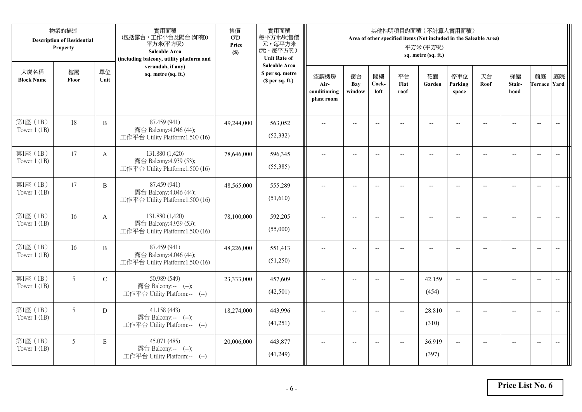|                            | 物業的描述<br><b>Description of Residential</b><br>Property |                | 實用面積<br>(包括露台,工作平台及陽台(如有))<br>平方米(平方呎)<br><b>Saleable Area</b><br>(including balcony, utility platform and | 售價<br>(元)<br>Price<br>(S) | 實用面積<br>每平方米/呎售價<br>元,每平方米<br>(元,每平方呎)<br><b>Unit Rate of</b> |                                            |                     |                          | 其他指明項目的面積 (不計算入實用面積)<br>Area of other specified items (Not included in the Saleable Area) | 平方米(平方呎)<br>sq. metre (sq. ft.) |                         |            |                          |                           |                          |
|----------------------------|--------------------------------------------------------|----------------|------------------------------------------------------------------------------------------------------------|---------------------------|---------------------------------------------------------------|--------------------------------------------|---------------------|--------------------------|-------------------------------------------------------------------------------------------|---------------------------------|-------------------------|------------|--------------------------|---------------------------|--------------------------|
| 大廈名稱<br><b>Block Name</b>  | 樓層<br>Floor                                            | 單位<br>Unit     | verandah, if any)<br>sq. metre (sq. ft.)                                                                   |                           | <b>Saleable Area</b><br>\$ per sq. metre<br>(\$ per sq. ft.)  | 空調機房<br>Air-<br>conditioning<br>plant room | 窗台<br>Bay<br>window | 閣樓<br>Cock-<br>loft      | 平台<br>Flat<br>roof                                                                        | 花園<br>Garden                    | 停車位<br>Parking<br>space | 天台<br>Roof | 梯屋<br>Stair-<br>hood     | 前庭<br><b>Terrace Yard</b> | 庭院                       |
| 第1座 (1B)<br>Tower $1(1B)$  | 18                                                     | $\, {\bf B}$   | 87.459 (941)<br>露台 Balcony:4.046 (44);<br>工作平台 Utility Platform:1.500 (16)                                 | 49,244,000                | 563,052<br>(52, 332)                                          |                                            |                     | $-$                      |                                                                                           |                                 |                         |            |                          | $\overline{\phantom{a}}$  | $\overline{\phantom{a}}$ |
| 第1座 (1B)<br>Tower $1$ (1B) | 17                                                     | $\mathbf{A}$   | 131.880 (1,420)<br>露台 Balcony:4.939 (53);<br>工作平台 Utility Platform:1.500 (16)                              | 78,646,000                | 596,345<br>(55,385)                                           | $\overline{a}$                             | $--$                | $\overline{\phantom{a}}$ | --                                                                                        | $\overline{\phantom{a}}$        | $-$                     | $-$        | $-$                      | $\overline{a}$            | $-$                      |
| 第1座 (1B)<br>Tower $1$ (1B) | 17                                                     | $\overline{B}$ | 87.459 (941)<br>露台 Balcony:4.046 (44);<br>工作平台 Utility Platform:1.500 (16)                                 | 48,565,000                | 555,289<br>(51,610)                                           |                                            | $\overline{a}$      | $\overline{\phantom{a}}$ |                                                                                           | $\overline{a}$                  |                         |            |                          | $\overline{a}$            |                          |
| 第1座 (1B)<br>Tower $1(1B)$  | 16                                                     | $\mathbf{A}$   | 131.880 (1,420)<br>露台 Balcony:4.939 (53);<br>工作平台 Utility Platform:1.500 (16)                              | 78,100,000                | 592,205<br>(55,000)                                           | $\overline{\phantom{a}}$                   | $-$                 | $-$                      | $\overline{a}$                                                                            | $\overline{a}$                  | $\overline{a}$          |            | $\overline{\phantom{a}}$ | $\overline{\phantom{a}}$  | $\overline{\phantom{m}}$ |
| 第1座 (1B)<br>Tower $1$ (1B) | 16                                                     | B              | 87.459 (941)<br>露台 Balcony:4.046 (44);<br>工作平台 Utility Platform:1.500 (16)                                 | 48,226,000                | 551,413<br>(51,250)                                           | $\overline{a}$                             | $- -$               | $\overline{\phantom{a}}$ | $\qquad \qquad -$                                                                         | $\overline{\phantom{m}}$        |                         | --         | $-$                      | $\overline{\phantom{m}}$  | $\overline{\phantom{m}}$ |
| 第1座 (1B)<br>Tower $1$ (1B) | 5                                                      | $\mathbf C$    | 50.989 (549)<br>露台 Balcony:-- (--);<br>工作平台 Utility Platform:-- (--)                                       | 23,333,000                | 457,609<br>(42,501)                                           |                                            | $-$                 | $-$                      | $\overline{a}$                                                                            | 42.159<br>(454)                 | $\overline{a}$          |            | $-$                      | $\overline{\phantom{a}}$  | $-$                      |
| 第1座 (1B)<br>Tower $1$ (1B) | 5                                                      | D              | 41.158 (443)<br>露台 Balcony:-- (--);<br>工作平台 Utility Platform:-- (--)                                       | 18,274,000                | 443,996<br>(41,251)                                           | $\sim$                                     | $-$                 | $\overline{\phantom{a}}$ | $\sim$                                                                                    | 28.810<br>(310)                 | $\overline{a}$          |            | $-$                      | $-$                       | $\overline{a}$           |
| 第1座 (1B)<br>Tower $1$ (1B) | 5                                                      | E              | 45.071 (485)<br>露台 Balcony:-- (--);<br>工作平台 Utility Platform:-- (--)                                       | 20,006,000                | 443,877<br>(41,249)                                           |                                            | $-$                 | $-$                      | $\overline{\phantom{a}}$                                                                  | 36.919<br>(397)                 | $-$                     |            |                          | $\overline{a}$            | $-$                      |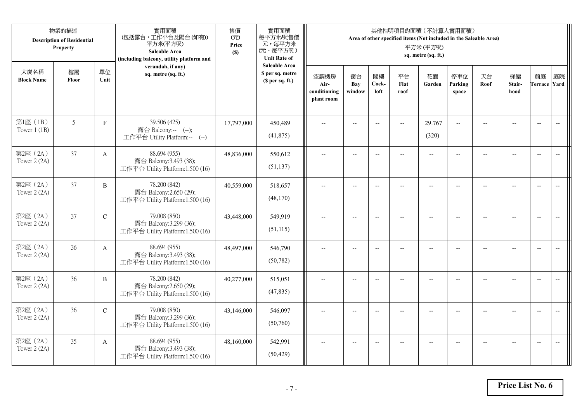|                            | 物業的描述<br><b>Description of Residential</b><br>Property |              | 實用面積<br>(包括露台,工作平台及陽台(如有))<br>平方米(平方呎)<br><b>Saleable Area</b><br>(including balcony, utility platform and | 售價<br>(元)<br>Price<br>(S) | 實用面積<br>每平方米/呎售價<br>元,每平方米<br>(元,每平方呎)<br><b>Unit Rate of</b>          |                                            |                          |                          | 其他指明項目的面積 (不計算入實用面積)<br>Area of other specified items (Not included in the Saleable Area) | 平方米(平方呎)<br>sq. metre (sq. ft.) |                          |                |                                                     |                           |                          |
|----------------------------|--------------------------------------------------------|--------------|------------------------------------------------------------------------------------------------------------|---------------------------|------------------------------------------------------------------------|--------------------------------------------|--------------------------|--------------------------|-------------------------------------------------------------------------------------------|---------------------------------|--------------------------|----------------|-----------------------------------------------------|---------------------------|--------------------------|
| 大廈名稱<br><b>Block Name</b>  | 樓層<br>Floor                                            | 單位<br>Unit   | verandah, if any)<br>sq. metre (sq. ft.)                                                                   |                           | <b>Saleable Area</b><br>\$ per sq. metre<br>(S <sub>per</sub> sq. ft.) | 空調機房<br>Air-<br>conditioning<br>plant room | 窗台<br>Bay<br>window      | 閣樓<br>Cock-<br>loft      | 平台<br>Flat<br>roof                                                                        | 花園<br>Garden                    | 停車位<br>Parking<br>space  | 天台<br>Roof     | 梯屋<br>Stair-<br>hood                                | 前庭<br><b>Terrace Yard</b> | 庭院                       |
| 第1座 (1B)<br>Tower $1$ (1B) | 5                                                      | $\mathbf F$  | 39.506 (425)<br>露台 Balcony:-- (--);<br>工作平台 Utility Platform:-- (--)                                       | 17,797,000                | 450,489<br>(41,875)                                                    |                                            | $-$                      | $\overline{\phantom{a}}$ | $-$                                                                                       | 29.767<br>(320)                 | $\overline{a}$           |                |                                                     | $\overline{a}$            | $\overline{\phantom{a}}$ |
| 第2座 (2A)<br>Tower 2 (2A)   | 37                                                     | $\mathbf{A}$ | 88.694 (955)<br>露台 Balcony:3.493 (38);<br>工作平台 Utility Platform:1.500 (16)                                 | 48,836,000                | 550,612<br>(51, 137)                                                   | $\overline{\phantom{a}}$                   | $\overline{\phantom{a}}$ | $\overline{a}$           | $\overline{a}$                                                                            | $\overline{\phantom{a}}$        | $-$                      |                | $\overline{a}$                                      | $-$                       | $\overline{\phantom{m}}$ |
| 第2座 (2A)<br>Tower 2 (2A)   | 37                                                     | $\, {\bf B}$ | 78.200 (842)<br>露台 Balcony:2.650 (29);<br>工作平台 Utility Platform:1.500 (16)                                 | 40,559,000                | 518,657<br>(48,170)                                                    |                                            | $\overline{\phantom{a}}$ | $-$                      | $-$                                                                                       | $-$                             | --                       |                | $\overline{\phantom{a}}$                            | $\overline{\phantom{a}}$  |                          |
| 第2座 (2A)<br>Tower 2 (2A)   | 37                                                     | $\mathbf C$  | 79.008 (850)<br>露台 Balcony:3.299 (36);<br>工作平台 Utility Platform:1.500 (16)                                 | 43,448,000                | 549,919<br>(51, 115)                                                   | $-$                                        | $\overline{\phantom{m}}$ | $\overline{\phantom{a}}$ | $\overline{\phantom{a}}$                                                                  | $-$                             | $\overline{\phantom{a}}$ | $\overline{a}$ | $\hspace{0.05cm} -\hspace{0.05cm} -\hspace{0.05cm}$ | $\overline{\phantom{a}}$  | $\overline{\phantom{m}}$ |
| 第2座 (2A)<br>Tower 2 (2A)   | 36                                                     | $\mathbf{A}$ | 88.694 (955)<br>露台 Balcony:3.493 (38);<br>工作平台 Utility Platform:1.500 (16)                                 | 48,497,000                | 546,790<br>(50, 782)                                                   | $\sim$                                     | $\overline{a}$           | $\overline{a}$           | $\overline{a}$                                                                            | $\overline{\phantom{a}}$        | $\overline{a}$           |                | $\overline{a}$                                      | $\overline{\phantom{a}}$  | $\overline{\phantom{a}}$ |
| 第2座 (2A)<br>Tower 2 (2A)   | 36                                                     | $\, {\bf B}$ | 78.200 (842)<br>露台 Balcony:2.650 (29);<br>工作平台 Utility Platform:1.500 (16)                                 | 40,277,000                | 515,051<br>(47, 835)                                                   | $\overline{\phantom{a}}$                   | $\overline{a}$           | $-$                      |                                                                                           | $\overline{a}$                  | $\sim$                   | $-$            | $\overline{a}$                                      | $\overline{\phantom{a}}$  | $\sim$                   |
| 第2座 (2A)<br>Tower 2 (2A)   | 36                                                     | $\mathbf C$  | 79.008 (850)<br>露台 Balcony:3.299 (36);<br>工作平台 Utility Platform:1.500 (16)                                 | 43,146,000                | 546,097<br>(50,760)                                                    |                                            |                          | $\overline{\phantom{a}}$ |                                                                                           |                                 |                          |                |                                                     | $\overline{\phantom{a}}$  | $\overline{\phantom{a}}$ |
| 第2座 (2A)<br>Tower 2 (2A)   | 35                                                     | A            | 88.694 (955)<br>露台 Balcony:3.493 (38);<br>工作平台 Utility Platform:1.500 (16)                                 | 48,160,000                | 542,991<br>(50, 429)                                                   | $\overline{\phantom{a}}$                   | $-$                      | $-$                      | $\overline{a}$                                                                            | $-$                             | $-$                      |                | $-$                                                 | $-$                       | $\overline{\phantom{a}}$ |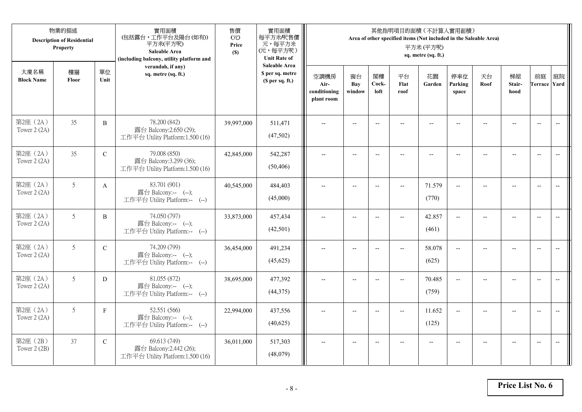|                           | 物業的描述<br><b>Description of Residential</b><br>Property |               | 實用面積<br>(包括露台,工作平台及陽台(如有))<br>平方米(平方呎)<br>Saleable Area<br>(including balcony, utility platform and | 售價<br>(元)<br>Price<br>(S) | 實用面積<br>每平方米/呎售價<br>元,每平方米<br>(元,每平方呎)<br><b>Unit Rate of</b> |                                            |                          |                          | 其他指明項目的面積 (不計算入實用面積)<br>Area of other specified items (Not included in the Saleable Area) | 平方米(平方呎)<br>sq. metre (sq. ft.) |                          |                |                          |                           |                          |
|---------------------------|--------------------------------------------------------|---------------|-----------------------------------------------------------------------------------------------------|---------------------------|---------------------------------------------------------------|--------------------------------------------|--------------------------|--------------------------|-------------------------------------------------------------------------------------------|---------------------------------|--------------------------|----------------|--------------------------|---------------------------|--------------------------|
| 大廈名稱<br><b>Block Name</b> | 樓層<br>Floor                                            | 單位<br>Unit    | verandah, if any)<br>sq. metre (sq. ft.)                                                            |                           | <b>Saleable Area</b><br>\$ per sq. metre<br>(\$ per sq. ft.)  | 空調機房<br>Air-<br>conditioning<br>plant room | 窗台<br>Bay<br>window      | 閣樓<br>Cock-<br>loft      | 平台<br>Flat<br>roof                                                                        | 花園<br>Garden                    | 停車位<br>Parking<br>space  | 天台<br>Roof     | 梯屋<br>Stair-<br>hood     | 前庭<br><b>Terrace Yard</b> | 庭院                       |
| 第2座 (2A)<br>Tower 2 (2A)  | 35                                                     | $\, {\bf B}$  | 78.200 (842)<br>露台 Balcony:2.650 (29);<br>工作平台 Utility Platform:1.500 (16)                          | 39,997,000                | 511,471<br>(47,502)                                           |                                            |                          |                          |                                                                                           |                                 |                          |                |                          | $\overline{\phantom{a}}$  | $\overline{\phantom{a}}$ |
| 第2座 (2A)<br>Tower 2 (2A)  | 35                                                     | $\mathcal{C}$ | 79.008 (850)<br>露台 Balcony:3.299 (36);<br>工作平台 Utility Platform:1.500 (16)                          | 42,845,000                | 542,287<br>(50, 406)                                          | $\overline{a}$                             | $\overline{\phantom{a}}$ | $\overline{\phantom{a}}$ | $-$                                                                                       | $\overline{\phantom{a}}$        | $-$                      | $-$            | $-$                      | $\overline{a}$            |                          |
| 第2座 (2A)<br>Tower 2 (2A)  | 5                                                      | $\mathbf{A}$  | 83.701 (901)<br>露台 Balcony:-- (--);<br>工作平台 Utility Platform:-- (--)                                | 40,545,000                | 484,403<br>(45,000)                                           |                                            | $\overline{\phantom{a}}$ | $\overline{\phantom{a}}$ | $\overline{\phantom{a}}$                                                                  | 71.579<br>(770)                 | $\overline{\phantom{a}}$ |                | $\overline{\phantom{a}}$ | $\overline{\phantom{a}}$  |                          |
| 第2座 (2A)<br>Tower 2 (2A)  | 5                                                      | $\, {\bf B}$  | 74.050 (797)<br>露台 Balcony:-- (--);<br>工作平台 Utility Platform:-- (--)                                | 33,873,000                | 457,434<br>(42,501)                                           | $\overline{a}$                             | $-$                      | $\overline{\phantom{a}}$ | $\overline{\phantom{a}}$                                                                  | 42.857<br>(461)                 | $\overline{\phantom{a}}$ |                | $\overline{\phantom{a}}$ | $\overline{\phantom{a}}$  | $\overline{\phantom{a}}$ |
| 第2座 (2A)<br>Tower 2 (2A)  | 5                                                      | $\mathbf C$   | 74.209 (799)<br>露台 Balcony:-- (--);<br>工作平台 Utility Platform:-- (--)                                | 36,454,000                | 491,234<br>(45,625)                                           | $\sim$                                     | $\overline{\phantom{a}}$ | $\overline{\phantom{a}}$ | $\overline{\phantom{a}}$                                                                  | 58.078<br>(625)                 | $\overline{\phantom{a}}$ | $\overline{a}$ | $\overline{a}$           | $\overline{\phantom{m}}$  | $\overline{\phantom{m}}$ |
| 第2座 (2A)<br>Tower 2 (2A)  | 5                                                      | D             | 81.055 (872)<br>露台 Balcony:-- (--);<br>工作平台 Utility Platform:-- (--)                                | 38,695,000                | 477,392<br>(44, 375)                                          |                                            | $-$                      |                          |                                                                                           | 70.485<br>(759)                 | $-$                      |                |                          | $\overline{\phantom{a}}$  |                          |
| 第2座 (2A)<br>Tower $2(2A)$ | 5                                                      | $\mathbf{F}$  | 52.551 (566)<br>露台 Balcony:-- (--);<br>工作平台 Utility Platform:-- (--)                                | 22,994,000                | 437,556<br>(40,625)                                           | $\overline{\phantom{a}}$                   | $-$                      | $-$                      | $\overline{a}$                                                                            | 11.652<br>(125)                 | $\overline{a}$           |                |                          | $\overline{\phantom{a}}$  |                          |
| 第2座 (2B)<br>Tower 2 (2B)  | 37                                                     | $\mathbf C$   | 69.613 (749)<br>露台 Balcony:2.442 (26);<br>工作平台 Utility Platform:1.500 (16)                          | 36,011,000                | 517,303<br>(48,079)                                           | $\overline{\phantom{a}}$                   | $\overline{\phantom{m}}$ | $-$                      | $\overline{\phantom{a}}$                                                                  | $\overline{\phantom{m}}$        | --                       |                | $-$                      | $-$                       | $\overline{\phantom{m}}$ |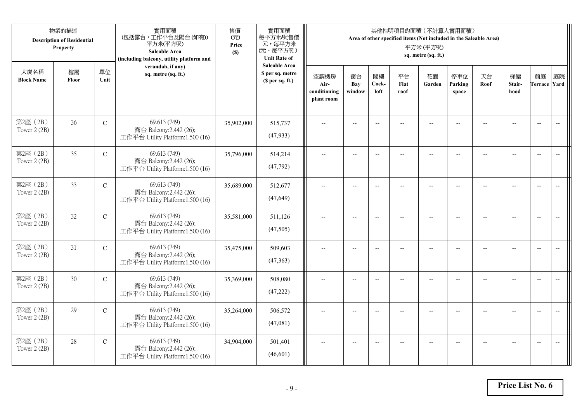|                           | 物業的描述<br><b>Description of Residential</b><br>Property |               | 實用面積<br>(包括露台,工作平台及陽台(如有))<br>平方米(平方呎)<br>Saleable Area<br>(including balcony, utility platform and | 售價<br>(元)<br>Price<br>(S) | 實用面積<br>每平方米/呎售價<br>元,每平方米<br>(元,每平方呎)<br><b>Unit Rate of</b>          |                                            |                          |                          |                          | 其他指明項目的面積 (不計算入實用面積)<br>Area of other specified items (Not included in the Saleable Area)<br>平方米(平方呎)<br>sq. metre (sq. ft.) |                          |                |                          |                           |                          |
|---------------------------|--------------------------------------------------------|---------------|-----------------------------------------------------------------------------------------------------|---------------------------|------------------------------------------------------------------------|--------------------------------------------|--------------------------|--------------------------|--------------------------|------------------------------------------------------------------------------------------------------------------------------|--------------------------|----------------|--------------------------|---------------------------|--------------------------|
| 大廈名稱<br><b>Block Name</b> | 樓層<br>Floor                                            | 單位<br>Unit    | verandah, if any)<br>sq. metre (sq. ft.)                                                            |                           | <b>Saleable Area</b><br>\$ per sq. metre<br>(S <sub>per</sub> sq. ft.) | 空調機房<br>Air-<br>conditioning<br>plant room | 窗台<br>Bay<br>window      | 閣樓<br>Cock-<br>loft      | 平台<br>Flat<br>roof       | 花園<br>Garden                                                                                                                 | 停車位<br>Parking<br>space  | 天台<br>Roof     | 梯屋<br>Stair-<br>hood     | 前庭<br><b>Terrace Yard</b> | 庭院                       |
| 第2座 (2B)<br>Tower 2 (2B)  | 36                                                     | $\mathbf C$   | 69.613 (749)<br>露台 Balcony:2.442 (26);<br>工作平台 Utility Platform:1.500 (16)                          | 35,902,000                | 515,737<br>(47, 933)                                                   |                                            | $-$                      | $\overline{a}$           |                          |                                                                                                                              |                          |                |                          | $\overline{a}$            | $\overline{\phantom{a}}$ |
| 第2座 (2B)<br>Tower 2 (2B)  | 35                                                     | $\mathcal{C}$ | 69.613 (749)<br>露台 Balcony:2.442 (26);<br>工作平台 Utility Platform:1.500 (16)                          | 35,796,000                | 514,214<br>(47, 792)                                                   | $\overline{\phantom{a}}$                   | $\overline{\phantom{a}}$ | $\overline{\phantom{a}}$ | $\overline{a}$           | $\overline{\phantom{a}}$                                                                                                     | $-$                      |                | $\overline{a}$           | $-$                       | $\overline{\phantom{m}}$ |
| 第2座 (2B)<br>Tower 2 (2B)  | 33                                                     | $\mathbf C$   | 69.613 (749)<br>露台 Balcony:2.442 (26);<br>工作平台 Utility Platform:1.500 (16)                          | 35,689,000                | 512,677<br>(47, 649)                                                   |                                            | $\overline{\phantom{a}}$ | $-$                      | $-$                      | $-$                                                                                                                          |                          |                | $\overline{\phantom{a}}$ | $\overline{\phantom{a}}$  |                          |
| 第2座 (2B)<br>Tower 2 (2B)  | 32                                                     | $\mathbf C$   | 69.613 (749)<br>露台 Balcony:2.442 (26);<br>工作平台 Utility Platform:1.500 (16)                          | 35,581,000                | 511.126<br>(47,505)                                                    | $-$                                        | $\overline{\phantom{m}}$ | $\overline{\phantom{a}}$ | $\overline{\phantom{a}}$ | $-$                                                                                                                          | $\overline{\phantom{a}}$ | $\overline{a}$ | --                       | $-$                       | $\overline{\phantom{m}}$ |
| 第2座 (2B)<br>Tower 2 (2B)  | 31                                                     | $\mathbf C$   | 69.613 (749)<br>露台 Balcony:2.442 (26);<br>工作平台 Utility Platform:1.500 (16)                          | 35,475,000                | 509,603<br>(47, 363)                                                   | $\sim$                                     | $\overline{a}$           | $\overline{a}$           | $\overline{a}$           | $\overline{\phantom{a}}$                                                                                                     | $\overline{a}$           |                | $\overline{a}$           | $\overline{\phantom{a}}$  | $\overline{\phantom{a}}$ |
| 第2座 (2B)<br>Tower 2 (2B)  | 30                                                     | $\mathcal{C}$ | 69.613 (749)<br>露台 Balcony:2.442 (26);<br>工作平台 Utility Platform:1.500 (16)                          | 35,369,000                | 508,080<br>(47, 222)                                                   | $\overline{\phantom{a}}$                   | $\overline{a}$           | $\overline{\phantom{a}}$ |                          | $-$                                                                                                                          | $-$                      | $-$            | $\overline{a}$           | $\overline{\phantom{a}}$  | $\sim$                   |
| 第2座 (2B)<br>Tower 2 (2B)  | 29                                                     | $\mathbf C$   | 69.613 (749)<br>露台 Balcony:2.442 (26);<br>工作平台 Utility Platform:1.500 (16)                          | 35,264,000                | 506,572<br>(47,081)                                                    |                                            |                          | $\overline{\phantom{a}}$ |                          |                                                                                                                              |                          |                |                          | $\overline{\phantom{a}}$  | $\overline{\phantom{a}}$ |
| 第2座 (2B)<br>Tower 2 (2B)  | 28                                                     | $\mathbf C$   | 69.613 (749)<br>露台 Balcony:2.442 (26);<br>工作平台 Utility Platform:1.500 (16)                          | 34,904,000                | 501,401<br>(46,601)                                                    | $\overline{\phantom{a}}$                   | $-$                      | $\overline{\phantom{a}}$ |                          | $\overline{a}$                                                                                                               | $-$                      |                | $-$                      | $-$                       | $\overline{\phantom{a}}$ |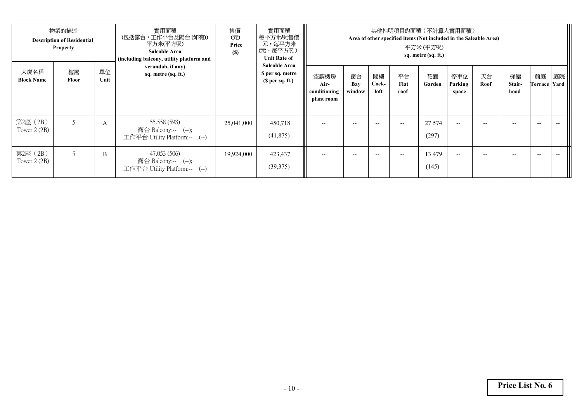|                           | 物業的描述<br><b>Description of Residential</b><br><b>Property</b> |            | 實用面積<br>(包括露台,工作平台及陽台(如有))<br>平方米(平方呎)<br><b>Saleable Area</b><br>(including balcony, utility platform and | 售價<br>$\overrightarrow{CD}$<br>Price<br>(S) | 實用面積<br>每平方米/呎售價<br>元,每平方米<br>(元,每平方呎)<br><b>Unit Rate of</b> |                                            |                     |                     | 其他指明項目的面積(不計算入實用面積)<br>Area of other specified items (Not included in the Saleable Area) | 平方米 (平方呎)<br>sq. metre (sq. ft.) |                         |            |                      |                          |    |
|---------------------------|---------------------------------------------------------------|------------|------------------------------------------------------------------------------------------------------------|---------------------------------------------|---------------------------------------------------------------|--------------------------------------------|---------------------|---------------------|------------------------------------------------------------------------------------------|----------------------------------|-------------------------|------------|----------------------|--------------------------|----|
| 大廈名稱<br><b>Block Name</b> | 樓層<br>Floor                                                   | 單位<br>Unit | verandah, if any)<br>sq. metre (sq. ft.)                                                                   |                                             | <b>Saleable Area</b><br>\$ per sq. metre<br>(\$ per sq. ft.)  | 空調機房<br>Air-<br>conditioning<br>plant room | 窗台<br>Bay<br>window | 閣樓<br>Cock-<br>loft | 平台<br>Flat<br>roof                                                                       | 花園<br>Garden                     | 停車位<br>Parking<br>space | 天台<br>Roof | 梯屋<br>Stair-<br>hood | 前庭<br>Terrace Yard       | 庭院 |
| 第2座 (2B)<br>Tower 2 (2B)  | 5                                                             | A          | 55.558 (598)<br>露台 Balcony:-- (--);<br>工作平台 Utility Platform:-- (--)                                       | 25,041,000                                  | 450,718<br>(41, 875)                                          | $-$                                        | $- -$               | $- -$               | $\hspace{0.05cm} -\hspace{0.05cm} -\hspace{0.05cm}$                                      | 27.574<br>(297)                  | $- -$                   | $- -$      | $- -$                | $-$                      |    |
| 第2座 (2B)<br>Tower 2 (2B)  |                                                               | B          | 47.053 (506)<br>露台 Balcony:-- (--);<br>工作平台 Utility Platform:-- (--)                                       | 19,924,000                                  | 423,437<br>(39,375)                                           | $- -$                                      | $- -$               | $-$                 | $\hspace{0.05cm} -$                                                                      | 13.479<br>(145)                  | $- -$                   | --         |                      | $\overline{\phantom{a}}$ |    |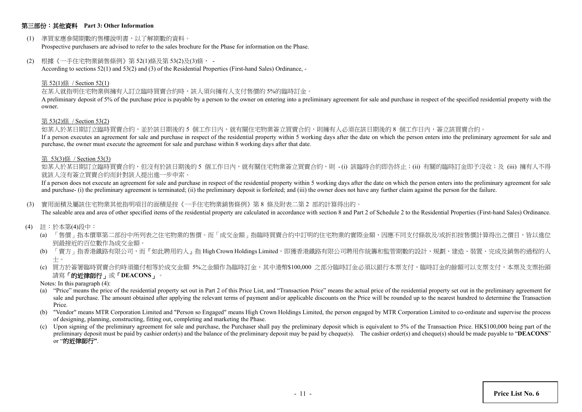## 第三部份:其他資料 **Part 3: Other Information**

(1) 準買家應參閱期數的售樓說明書,以了解期數的資料。

Prospective purchasers are advised to refer to the sales brochure for the Phase for information on the Phase.

(2) 根據《一手住宅物業銷售條例》第 52(1)條及第 53(2)及(3)條, -

According to sections 52(1) and 53(2) and (3) of the Residential Properties (First-hand Sales) Ordinance, -

#### 第 52(1)條 / Section 52(1)

#### 在某人就指明住宅物業與擁有人訂立臨時買賣合約時,該人須向擁有人支付售價的 5%的臨時訂金。

A preliminary deposit of 5% of the purchase price is payable by a person to the owner on entering into a preliminary agreement for sale and purchase in respect of the specified residential property with the owner.

#### 第 53(2)條 / Section 53(2)

如某人於某日期訂立臨時買賣合約,並於該日期後的 5 個工作日內,就有關住宅物業簽立買賣合約,則擁有人必須在該日期後的 8 個工作日內,簽立該買賣合約。

If a person executes an agreement for sale and purchase in respect of the residential property within 5 working days after the date on which the person enters into the preliminary agreement for sale and purchase, the owner must execute the agreement for sale and purchase within 8 working days after that date.

#### 第 53(3)條 / Section 53(3)

如某人於某日期訂立臨時買賣合約,但沒有於該日期後的 5 個工作日内,就有關住宅物業簽立買賣合約,則 -(i) 該臨時合約即告終止;(ii) 有關的臨時訂金即予沒收;及 (iii) 擁有人不得 就該人沒有簽立買賣合約而針對該人提出進一步申索。

If a person does not execute an agreement for sale and purchase in respect of the residential property within 5 working days after the date on which the person enters into the preliminary agreement for sale and purchase- (i) the preliminary agreement is terminated; (ii) the preliminary deposit is forfeited; and (iii) the owner does not have any further claim against the person for the failure.

#### (3) 實用面積及屬該住宅物業其他指明項目的面積是按《一手住宅物業銷售條例》第 8 條及附表二第 2 部的計算得出的。

The saleable area and area of other specified items of the residential property are calculated in accordance with section 8 and Part 2 of Schedule 2 to the Residential Properties (First-hand Sales) Ordinance.

- (4) 註:於本第(4)段中:
	- (a) 「售價」指本價單第二部份中所列表之住宅物業的售價。而「成交金額」指臨時買賣合約中訂明的住宅物業的實際金額,因應不同支付條款及/或折扣按售價計算得出之價目,皆以進位 到最接近的百位數作為成交金額。
	- (b) 「賣方」指香港鐵路有限公司,而『如此聘用的人』指 High Crown Holdings Limited,即獲香港鐵路有限公司聘用作統籌和監管期數的設計、規劃、建造、裝置、完成及銷售的過程的人 士。
	- (c) 買方於簽署臨時買賣合約時須繳付相等於成交金額 5%之金額作為臨時訂金,其中港幣\$100,000 之部分臨時訂金必須以銀行本票支付,臨時訂金的餘額可以支票支付,本票及支票抬頭 請寫「的近律師行」或「**DEACONS**」。
	- Notes: In this paragraph (4):
	- (a) "Price" means the price of the residential property set out in Part 2 of this Price List, and "Transaction Price" means the actual price of the residential property set out in the preliminary agreement for sale and purchase. The amount obtained after applying the relevant terms of payment and/or applicable discounts on the Price will be rounded up to the nearest hundred to determine the Transaction Price.
	- (b) "Vendor" means MTR Corporation Limited and "Person so Engaged" means High Crown Holdings Limited, the person engaged by MTR Corporation Limited to co-ordinate and supervise the process of designing, planning, constructing, fitting out, completing and marketing the Phase.
	- (c) Upon signing of the preliminary agreement for sale and purchase, the Purchaser shall pay the preliminary deposit which is equivalent to 5% of the Transaction Price. HK\$100,000 being part of the preliminary deposit must be paid by cashier order(s) and the balance of the preliminary deposit may be paid by cheque(s). The cashier order(s) and cheque(s) should be made payable to "**DEACONS**" or "的近律師行**"**.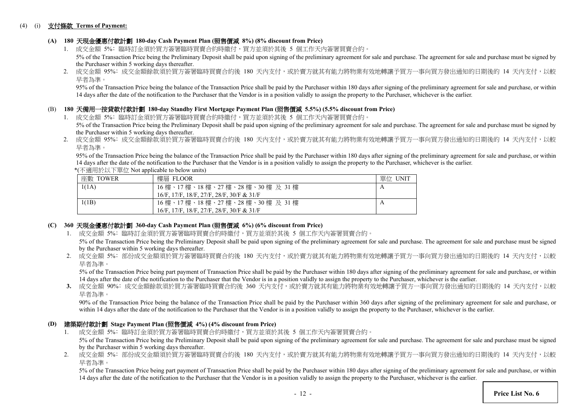### (4) (i) 支付條款 **Terms of Payment:**

# **(A) 180** 天現金優惠付款計劃 **180-day Cash Payment Plan (**照售價減 **8%) (8% discount from Price)**

- 1. 成交金額 5%: 臨時訂金須於買方簽署臨時買賣合約時繳付,買方並須於其後 5 個工作天内簽署買賣合約。 5% of the Transaction Price being the Preliminary Deposit shall be paid upon signing of the preliminary agreement for sale and purchase. The agreement for sale and purchase must be signed by the Purchaser within 5 working days thereafter.
- 2. 成交金額 95%: 成交金額餘款須於買方簽署臨時買賣合約後 180 天內支付,或於賣方就其有能力將物業有效地轉讓予買方一事向買方發出通知的日期後的 14 天内支付,以較 早者為準。

95% of the Transaction Price being the balance of the Transaction Price shall be paid by the Purchaser within 180 days after signing of the preliminary agreement for sale and purchase, or within 14 days after the date of the notification to the Purchaser that the Vendor is in a position validly to assign the property to the Purchaser, whichever is the earlier.

## (B) **180** 天備用一按貸款付款計劃 **180-day Standby First Mortgage Payment Plan (**照售價減 **5.5%) (5.5% discount from Price)**

- 1. 成交金額 5%: 臨時訂金須於買方簽署臨時買賣合約時繳付,買方並須於其後 5 個工作天內簽署買賣合約。 5% of the Transaction Price being the Preliminary Deposit shall be paid upon signing of the preliminary agreement for sale and purchase. The agreement for sale and purchase must be signed by the Purchaser within 5 working days thereafter.
- 2. 成交金額 95%: 成交金額餘款須於買方簽署臨時買賣合約後 180 天內支付,或於賣方就其有能力將物業有效地轉讓予買方一事向買方發出通知的日期後的 14 天内支付,以較 早者為準。

95% of the Transaction Price being the balance of the Transaction Price shall be paid by the Purchaser within 180 days after signing of the preliminary agreement for sale and purchase, or within 14 days after the date of the notification to the Purchaser that the Vendor is in a position validly to assign the property to the Purchaser, whichever is the earlier.

\*(不適用於以下單位 Not applicable to below units)

| 座數 TOWER | 樓層 FLOOR                                     | 單位 UNIT |
|----------|----------------------------------------------|---------|
| 1(1A)    | 16樓、17樓、18樓、27樓、28樓、30樓及31樓                  |         |
|          | 16/F, 17/F, 18/F, 27/F, 28/F, 30/F & 31/F    |         |
| 1(1B)    | 16 樓、17 樓、18 樓、27 樓、28 樓、30 樓 及 31 樓         |         |
|          | $16/F$ , 17/F, 18/F, 27/F, 28/F, 30/F & 31/F |         |

## **(C) 360** 天現金優惠付款計劃 **360-day Cash Payment Plan (**照售價減 **6%) (6% discount from Price)**

1. 成交金額 5%: 臨時訂金須於買方簽署臨時買賣合約時繳付,買方並須於其後 5 個工作天內簽署買賣合約。

5% of the Transaction Price being the Preliminary Deposit shall be paid upon signing of the preliminary agreement for sale and purchase. The agreement for sale and purchase must be signed by the Purchaser within 5 working days thereafter.

2. 成交金額 5%: 部份成交金額須於買方簽署臨時買賣合約後 180 天內支付,或於賣方就其有能力將物業有效地轉讓予買方一事向買方發出通知的日期後的 14 天內支付,以較 早者為準。

5% of the Transaction Price being part payment of Transaction Price shall be paid by the Purchaser within 180 days after signing of the preliminary agreement for sale and purchase, or within 14 days after the date of the notification to the Purchaser that the Vendor is in a position validly to assign the property to the Purchaser, whichever is the earlier.

3. 成交金額 90%: 成交金額餘款須於買方簽署臨時買賣合約後 360 天內支付,或於賣方就其有能力將物業有效地轉讓予買方一事向買方發出通知的日期後的 14 天內支付,以較 早者為準。

90% of the Transaction Price being the balance of the Transaction Price shall be paid by the Purchaser within 360 days after signing of the preliminary agreement for sale and purchase, or within 14 days after the date of the notification to the Purchaser that the Vendor is in a position validly to assign the property to the Purchaser, whichever is the earlier.

## **(D)** 建築期付款計劃 **Stage Payment Plan (**照售價減 **4%) (4% discount from Price)**

- 1. 成交金額 5%﹕臨時訂金須於買方簽署臨時買賣合約時繳付,買方並須於其後 5 個工作天內簽署買賣合約。 5% of the Transaction Price being the Preliminary Deposit shall be paid upon signing of the preliminary agreement for sale and purchase. The agreement for sale and purchase must be signed by the Purchaser within 5 working days thereafter.
- 2. 成交金額 5%: 部份成交金額須於買方簽署臨時買賣合約後 180 天內支付,或於賣方就其有能力將物業有效地轉讓予買方一事向買方發出通知的日期後的 14 天內支付,以較 早者為準。

5% of the Transaction Price being part payment of Transaction Price shall be paid by the Purchaser within 180 days after signing of the preliminary agreement for sale and purchase, or within 14 days after the date of the notification to the Purchaser that the Vendor is in a position validly to assign the property to the Purchaser, whichever is the earlier.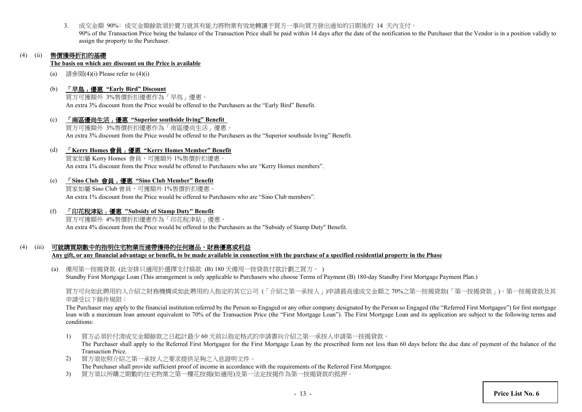3. 成交金額 90%﹕成交金額餘款須於賣方就其有能力將物業有效地轉讓予買方一事向買方發出通知的日期後的 14 天內支付。 90% of the Transaction Price being the balance of the Transaction Price shall be paid within 14 days after the date of the notification to the Purchaser that the Vendor is in a position validly to assign the property to the Purchaser.

# (4) (ii) 售價獲得折扣的基礎

#### **The basis on which any discount on the Price is available**

- (a) 請參閱 $(4)$ (i) Please refer to  $(4)$ (i)
- (b) 「早鳥」優惠 **"Early Bird" Discount**

買方可獲額外 3%售價折扣優惠作為「早鳥」優惠。 An extra 3% discount from the Price would be offered to the Purchasers as the "Early Bird" Benefit.

(c) 「南區優尚生活」優惠 **"Superior southside living" Benefit** 買方可獲額外 3%售價折扣優惠作為「南區優尚生活」優惠。 An extra 3% discount from the Price would be offered to the Purchasers as the "Superior southside living" Benefit.

## (d) 「**Kerry Homes** 會員」優惠 **"Kerry Homes Member" Benefit**

買家如屬 Kerry Homes 會員,可獲額外 1%售價折扣優惠。 An extra 1% discount from the Price would be offered to Purchasers who are "Kerry Homes members".

## (e) 「**Sino Club** 會員」優惠 **"Sino Club Member" Benefit**

買家如屬 Sino Club 會員,可獲額外 1%售價折扣優惠。 An extra 1% discount from the Price would be offered to Purchasers who are "Sino Club members".

(f) 「印花稅津貼」優惠 **"Subsidy of Stamp Duty" Benefit**

買方可獲額外 4%售價折扣優惠作為「印花稅津貼」優惠。 An extra 4% discount from the Price would be offered to the Purchasers as the "Subsidy of Stamp Duty" Benefit.

# (4) (iii) 可就購買期數中的指明住宅物業而連帶獲得的任何贈品、財務優惠或利益

**Any gift, or any financial advantage or benefit, to be made available in connection with the purchase of a specified residential property in the Phase**

(a) 備用第一按揭貸款 (此安排只適用於選擇支付條款 (B) 180 天備用一按貸款付款計劃之買方。 ) Standby First Mortgage Loan (This arrangement is only applicable to Purchasers who choose Terms of Payment (B) 180-day Standby First Mortgage Payment Plan.)

買方可向如此聘用的人介紹之財務機構或如此聘用的人指定的其它公司 (「介紹之第一承按人」)申請最高達成交金額之 70%之第一按揭貸款(「第一按揭貸款」)。第一按揭貸款及其 申請受以下條件規限:

The Purchaser may apply to the financial institution referred by the Person so Engaged or any other company designated by the Person so Engaged (the "Referred First Mortgagee") for first mortgage loan with a maximum loan amount equivalent to 70% of the Transaction Price (the "First Mortgage Loan"). The First Mortgage Loan and its application are subject to the following terms and conditions:

1) 買方必須於付清成交金額餘款之日起計最少 60 天前以指定格式的申請書向介紹之第一承按人申請第一按揭貸款。

The Purchaser shall apply to the Referred First Mortgagee for the First Mortgage Loan by the prescribed form not less than 60 days before the due date of payment of the balance of the Transaction Price.

- 2) 買方須依照介紹之第一承按人之要求提供足夠之入息證明文件。 The Purchaser shall provide sufficient proof of income in accordance with the requirements of the Referred First Mortgagee.
- 3) 買方須以所購之期數的住宅物業之第一樓花按揭(如適用)及第一法定按揭作為第一按揭貸款的抵押。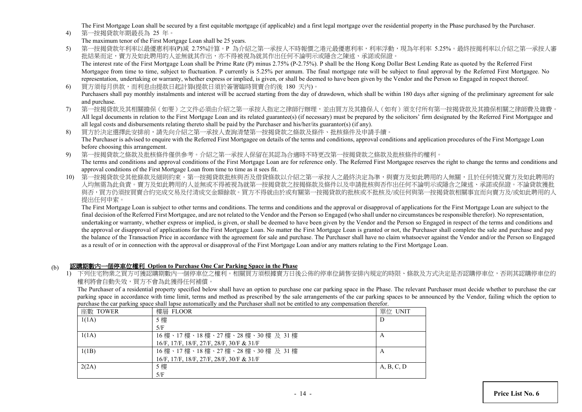The First Mortgage Loan shall be secured by a first equitable mortgage (if applicable) and a first legal mortgage over the residential property in the Phase purchased by the Purchaser.

- 4) 第一按揭貸款年期最長為 25 年。
- The maximum tenor of the First Mortgage Loan shall be 25 years.
- 5) 第一按揭貸款年利率以最優惠利率(P)減 2.75%計算。P 為介紹之第一承按人不時報價之港元最優惠利率,利率浮動,現為年利率 5.25%。最終按揭利率以介紹之第一承按人審 批結果而定,賣方及如此聘用的人並無就其作用,亦不得被視為就其作出任何不論明示或隱含之陳述、承諾或保證。 The interest rate of the First Mortgage Loan shall be Prime Rate (P) minus 2.75% (P-2.75%). P shall be the Hong Kong Dollar Best Lending Rate as quoted by the Referred First Mortgagee from time to time, subject to fluctuation. P currently is 5.25% per annum. The final mortgage rate will be subject to final approval by the Referred First Mortgagee. No representation, undertaking or warranty, whether express or implied, is given, or shall be deemed to have been given by the Vendor and the Person so Engaged in respect thereof.
- 6) 買方須每月供款,而利息由提款日起計算(提款日須於簽署臨時買賣合約後 180 天內)。 Purchasers shall pay monthly instalments and interest will be accrued starting from the day of drawdown, which shall be within 180 days after signing of the preliminary agreement for sale and purchase.
- 7) 第一按揭貸款及其相關擔保(如要)之文件必須由介紹之第一承按人指定之律師行辦理,並由買方及其擔保人(如有)須支付所有第一按揭貸款及其擔保相關之律師費及雜費。 All legal documents in relation to the First Mortgage Loan and its related guarantee(s) (if necessary) must be prepared by the solicitors' firm designated by the Referred First Mortgagee and all legal costs and disbursements relating thereto shall be paid by the Purchaser and his/her/its guarantor(s) (if any).
- 8) 買方於決定選擇此安排前,請先向介紹之第一承按人查詢清楚第一按揭貸款之條款及條件、批核條件及申請手續。 The Purchaser is advised to enquire with the Referred First Mortgagee on details of the terms and conditions, approval conditions and application procedures of the First Mortgage Loan before choosing this arrangement.
- 9) 第一按揭貸款之條款及批核條件僅供參考。介紹之第一承按人保留在其認為合適時不時更改第一按揭貸款之條款及批核條件的權利。 The terms and conditions and approval conditions of the First Mortgage Loan are for reference only. The Referred First Mortgagee reserves the right to change the terms and conditions and approval conditions of the First Mortgage Loan from time to time as it sees fit.
- 10) 第一按揭貸款受其他條款及細則約束。第一按揭貸款批核與否及借貸條款以介紹之第一承按人之最終決定為準,與賣方及如此聘用的人無關,且於任何情況賣方及如此聘用的 人均無需為此負責。賣方及如此聘用的人並無或不得被視為就第一按揭貸款之按揭條款及條件以及申請批核與否作出任何不論明示或隱含之陳述、承諾或保證。不論貸款獲批 與否,買方仍須按買賣合約完成交易及付清成交金額餘款。買方不得就由於或有關第一按揭貸款的批核或不批核及/或任何與第一按揭貸款相關事宜而向賣方及/或如此聘用的人 提出任何申索。

The First Mortgage Loan is subject to other terms and conditions. The terms and conditions and the approval or disapproval of applications for the First Mortgage Loan are subject to the final decision of the Referred First Mortgagee, and are not related to the Vendor and the Person so Engaged (who shall under no circumstances be responsible therefor). No representation, undertaking or warranty, whether express or implied, is given, or shall be deemed to have been given by the Vendor and the Person so Engaged in respect of the terms and conditions and the approval or disapproval of applications for the First Mortgage Loan. No matter the First Mortgage Loan is granted or not, the Purchaser shall complete the sale and purchase and pay the balance of the Transaction Price in accordance with the agreement for sale and purchase. The Purchaser shall have no claim whatsoever against the Vendor and/or the Person so Engaged as a result of or in connection with the approval or disapproval of the First Mortgage Loan and/or any matters relating to the First Mortgage Loan.

# (b) 認購期數內一個停車位權利 **Option to Purchase One Car Parking Space in the Phase**

1) 下列住宅物業之買方可獲認購期數內一個停車位之權利。相關買方須根據賣方日後公佈的停車位銷售安排內規定的時限、條款及方式決定是否認購停車位,否則其認購停車位的 權利將會自動失效,買方不會為此獲得任何補償。

The Purchaser of a residential property specified below shall have an option to purchase one car parking space in the Phase. The relevant Purchaser must decide whether to purchase the car parking space in accordance with time limit, terms and method as prescribed by the sale arrangements of the car parking spaces to be announced by the Vendor, failing which the option to purchase the car parking space shall lapse automatically and the Purchaser shall not be entitled to any compensation therefor.

| 座數 TOWER | 樓層 FLOOR                                  | 單位 UNIT    |
|----------|-------------------------------------------|------------|
| 1(1A)    | 5 樓                                       | Ð          |
|          | 5/F                                       |            |
| 1(1A)    | 16樓、17樓、18樓、27樓、28樓、30樓及31樓               | А          |
|          | 16/F, 17/F, 18/F, 27/F, 28/F, 30/F & 31/F |            |
| 1(1B)    | 16樓、17樓、18樓、27樓、28樓、30樓及31樓               | A          |
|          | 16/F, 17/F, 18/F, 27/F, 28/F, 30/F & 31/F |            |
| 2(2A)    | 5 樓                                       | A, B, C, D |
|          | 5/F                                       |            |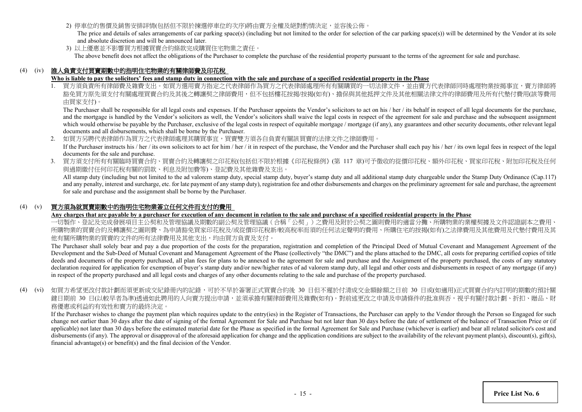2) 停車位的售價及銷售安排詳情(包括但不限於揀選停車位的次序)將由賣方全權及絕對酌情決定,並容後公佈。

The price and details of sales arrangements of car parking space(s) (including but not limited to the order for selection of the car parking space(s)) will be determined by the Vendor at its sole and absolute discretion and will be announced later.

3) 以上優惠並不影響買方根據買賣合約條款完成購買住宅物業之責任。 The above benefit does not affect the obligations of the Purchaser to complete the purchase of the residential property pursuant to the terms of the agreement for sale and purchase.

# (4) (iv) 誰人負責支付買賣期數中的指明住宅物業的有關律師費及印花稅

# Who is liable to pay the solicitors' fees and stamp duty in connection with the sale and purchase of a specified residential property in the Phase

買方須負責所有律師費及雜費支出。如買方選用賣方指定之代表律師作為買方之代表律師處理所有有關購買的一切法律文件,並由賣方代表律師同時處理物業按揭事宜,賣方律師將 豁免買方原先須支付有關處理買賣合約及其後之轉讓契之律師費用,但不包括樓花按揭/按揭(如有)、擔保與其他抵押文件及其他相關法律文件的律師費用及所有代墊付費用(該等費用 由買家支付)。

The Purchaser shall be responsible for all legal costs and expenses. If the Purchaser appoints the Vendor's solicitors to act on his / her / its behalf in respect of all legal documents for the purchase, and the mortgage is handled by the Vendor's solicitors as well, the Vendor's solicitors shall waive the legal costs in respect of the agreement for sale and purchase and the subsequent assignment which would otherwise be payable by the Purchaser, exclusive of the legal costs in respect of equitable mortgage / mortgage (if any), any guarantees and other security documents, other relevant legal documents and all disbursements, which shall be borne by the Purchaser.

2. 如買方另聘代表律師作為買方之代表律師處理其購買事宜,買賣雙方須各自負責有關該買賣的法律文件之律師費用。

If the Purchaser instructs his / her / its own solicitors to act for him / her / it in respect of the purchase, the Vendor and the Purchaser shall each pay his / her / its own legal fees in respect of the legal documents for the sale and purchase.

3. 買方須支付所有有關臨時買賣合約、買賣合約及轉讓契之印花稅(包括但不限於根據《印花稅條例》(第 117 章)可予徵收的從價印花稅、額外印花稅、買家印花稅、附加印花稅及任何 與過期繳付任何印花稅有關的罰款、利息及附加費等)、登記費及其他雜費及支出。

All stamp duty (including but not limited to the ad valorem stamp duty, special stamp duty, buyer's stamp duty and all additional stamp duty chargeable under the Stamp Duty Ordinance (Cap.117) and any penalty, interest and surcharge, etc. for late payment of any stamp duty), registration fee and other disbursements and charges on the preliminary agreement for sale and purchase, the agreement for sale and purchase and the assignment shall be borne by the Purchaser.

# (4) (v) 買方須為就買賣期數中的指明住宅物業簽立任何文件而支付的費用

#### **Any charges that are payable by a purchaser for execution of any document in relation to the sale and purchase of a specified residential property in the Phase**

一切製作、登記及完成發展項目主公契和及管理協議及期數的副公契及管理協議(合稱「公契」)之費用及附於公契之圖則費用的適當分攤、所購物業的業權契據及文件認證副本之費用、 所購物業的買賣合約及轉讓契之圖則費、為申請豁免買家印花稅及/或從價印花稅新/較高稅率而須的任何法定聲明的費用、所購住宅的按揭(如有)之法律費用及其他費用及代墊付費用及其 他有關所購物業的買賣的文件的所有法律費用及其他支出,均由買方負責及支付。

The Purchaser shall solely bear and pay a due proportion of the costs for the preparation, registration and completion of the Principal Deed of Mutual Covenant and Management Agreement of the Development and the Sub-Deed of Mutual Covenant and Management Agreement of the Phase (collectively "the DMC") and the plans attached to the DMC, all costs for preparing certified copies of title deeds and documents of the property purchased, all plan fees for plans to be annexed to the agreement for sale and purchase and the Assignment of the property purchased, the costs of any statutory declaration required for application for exemption of buyer's stamp duty and/or new/higher rates of ad valorem stamp duty, all legal and other costs and disbursements in respect of any mortgage (if any) in respect of the property purchased and all legal costs and charges of any other documents relating to the sale and purchase of the property purchased.

(4) (vi) 如買方希望更改付款計劃而須更新成交紀錄冊內的記錄,可於不早於簽署正式買賣合約後 30 日但不遲於付清成交金額餘額之日前 30 日或(如適用)正式買賣合約內訂明的期數的預計關 鍵日期前 30 日(以較早者為準)透過如此聘用的人向賣方提出申請,並須承擔有關律師費用及雜費(如有)。對前述更改之申請及申請條件的批准與否,視乎有關付款計劃、折扣、贈品、財 務優惠或利益的有效性和賣方的最終決定。

If the Purchaser wishes to change the payment plan which requires update to the entry(ies) in the Register of Transactions, the Purchaser can apply to the Vendor through the Person so Engaged for such change not earlier than 30 days after the date of signing of the formal Agreement for Sale and Purchase but not later than 30 days before the date of settlement of the balance of Transaction Price or (if applicable) not later than 30 days before the estimated material date for the Phase as specified in the formal Agreement for Sale and Purchase (whichever is earlier) and bear all related solicitor's cost and disbursements (if any). The approval or disapproval of the aforesaid application for change and the application conditions are subject to the availability of the relevant payment plan(s), discount(s), gift(s), financial advantage(s) or benefit(s) and the final decision of the Vendor.